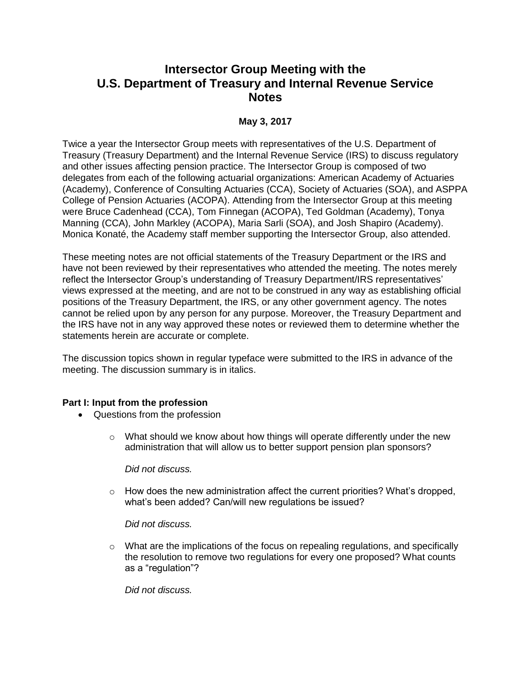# **Intersector Group Meeting with the U.S. Department of Treasury and Internal Revenue Service Notes**

## **May 3, 2017**

Twice a year the Intersector Group meets with representatives of the U.S. Department of Treasury (Treasury Department) and the Internal Revenue Service (IRS) to discuss regulatory and other issues affecting pension practice. The Intersector Group is composed of two delegates from each of the following actuarial organizations: American Academy of Actuaries (Academy), Conference of Consulting Actuaries (CCA), Society of Actuaries (SOA), and ASPPA College of Pension Actuaries (ACOPA). Attending from the Intersector Group at this meeting were Bruce Cadenhead (CCA), Tom Finnegan (ACOPA), Ted Goldman (Academy), Tonya Manning (CCA), John Markley (ACOPA), Maria Sarli (SOA), and Josh Shapiro (Academy). Monica Konaté, the Academy staff member supporting the Intersector Group, also attended.

These meeting notes are not official statements of the Treasury Department or the IRS and have not been reviewed by their representatives who attended the meeting. The notes merely reflect the Intersector Group's understanding of Treasury Department/IRS representatives' views expressed at the meeting, and are not to be construed in any way as establishing official positions of the Treasury Department, the IRS, or any other government agency. The notes cannot be relied upon by any person for any purpose. Moreover, the Treasury Department and the IRS have not in any way approved these notes or reviewed them to determine whether the statements herein are accurate or complete.

The discussion topics shown in regular typeface were submitted to the IRS in advance of the meeting. The discussion summary is in italics.

### **Part I: Input from the profession**

- Questions from the profession
	- $\circ$  What should we know about how things will operate differently under the new administration that will allow us to better support pension plan sponsors?

*Did not discuss.*

 $\circ$  How does the new administration affect the current priorities? What's dropped, what's been added? Can/will new regulations be issued?

*Did not discuss.*

 $\circ$  What are the implications of the focus on repealing regulations, and specifically the resolution to remove two regulations for every one proposed? What counts as a "regulation"?

*Did not discuss.*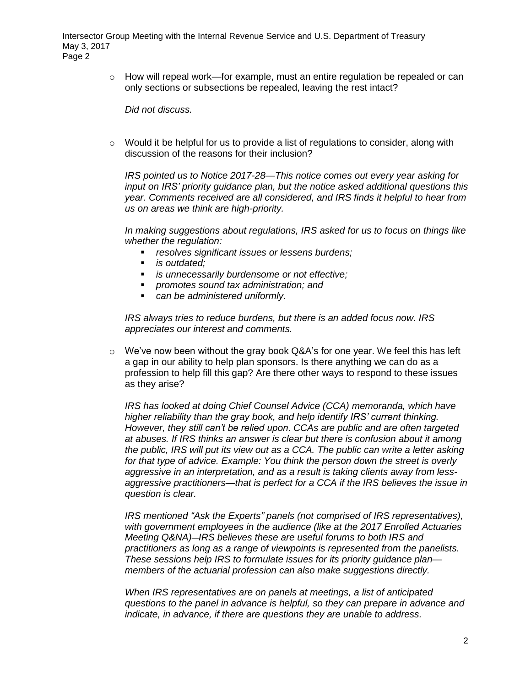> $\circ$  How will repeal work—for example, must an entire regulation be repealed or can only sections or subsections be repealed, leaving the rest intact?

*Did not discuss.*

 $\circ$  Would it be helpful for us to provide a list of regulations to consider, along with discussion of the reasons for their inclusion?

*IRS pointed us to Notice 2017-28—This notice comes out every year asking for input on IRS' priority guidance plan, but the notice asked additional questions this year. Comments received are all considered, and IRS finds it helpful to hear from us on areas we think are high-priority.* 

*In making suggestions about regulations, IRS asked for us to focus on things like whether the regulation:* 

- *resolves significant issues or lessens burdens;*
- *is outdated;*
- *is unnecessarily burdensome or not effective;*
- *promotes sound tax administration; and*
- *can be administered uniformly.*

*IRS always tries to reduce burdens, but there is an added focus now. IRS appreciates our interest and comments.* 

 $\circ$  We've now been without the gray book Q&A's for one year. We feel this has left a gap in our ability to help plan sponsors. Is there anything we can do as a profession to help fill this gap? Are there other ways to respond to these issues as they arise?

*IRS has looked at doing Chief Counsel Advice (CCA) memoranda, which have higher reliability than the gray book, and help identify IRS' current thinking. However, they still can't be relied upon. CCAs are public and are often targeted at abuses. If IRS thinks an answer is clear but there is confusion about it among the public, IRS will put its view out as a CCA. The public can write a letter asking*  for that type of advice. Example: You think the person down the street is overly *aggressive in an interpretation, and as a result is taking clients away from lessaggressive practitioners—that is perfect for a CCA if the IRS believes the issue in question is clear.*

*IRS mentioned "Ask the Experts" panels (not comprised of IRS representatives), with government employees in the audience (like at the 2017 Enrolled Actuaries Meeting Q&NA)*—*IRS believes these are useful forums to both IRS and practitioners as long as a range of viewpoints is represented from the panelists. These sessions help IRS to formulate issues for its priority guidance plan members of the actuarial profession can also make suggestions directly.*

*When IRS representatives are on panels at meetings, a list of anticipated questions to the panel in advance is helpful, so they can prepare in advance and indicate, in advance, if there are questions they are unable to address.*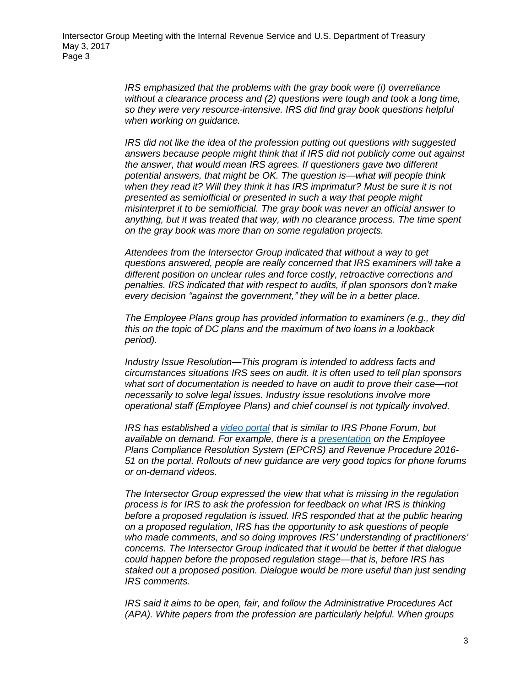*IRS emphasized that the problems with the gray book were (i) overreliance without a clearance process and (2) questions were tough and took a long time, so they were very resource-intensive. IRS did find gray book questions helpful when working on guidance.*

*IRS did not like the idea of the profession putting out questions with suggested answers because people might think that if IRS did not publicly come out against the answer, that would mean IRS agrees. If questioners gave two different potential answers, that might be OK. The question is—what will people think when they read it? Will they think it has IRS imprimatur? Must be sure it is not presented as semiofficial or presented in such a way that people might misinterpret it to be semiofficial. The gray book was never an official answer to anything, but it was treated that way, with no clearance process. The time spent on the gray book was more than on some regulation projects.*

*Attendees from the Intersector Group indicated that without a way to get questions answered, people are really concerned that IRS examiners will take a different position on unclear rules and force costly, retroactive corrections and penalties. IRS indicated that with respect to audits, if plan sponsors don't make every decision "against the government," they will be in a better place.* 

*The Employee Plans group has provided information to examiners (e.g., they did this on the topic of DC plans and the maximum of two loans in a lookback period).*

*Industry Issue Resolution—This program is intended to address facts and circumstances situations IRS sees on audit. It is often used to tell plan sponsors what sort of documentation is needed to have on audit to prove their case—not necessarily to solve legal issues. Industry issue resolutions involve more operational staff (Employee Plans) and chief counsel is not typically involved.*

*IRS has established a [video portal](https://www.irsvideos.gov/) that is similar to IRS Phone Forum, but available on demand. For example, there is a [presentation](https://www.irsvideos.gov/EmployeePlansComplianceResolutionSystemChangesRevenueProcedure2016-51/) on the Employee Plans Compliance Resolution System (EPCRS) and Revenue Procedure 2016- 51 on the portal. Rollouts of new guidance are very good topics for phone forums or on-demand videos.*

*The Intersector Group expressed the view that what is missing in the regulation process is for IRS to ask the profession for feedback on what IRS is thinking before a proposed regulation is issued. IRS responded that at the public hearing on a proposed regulation, IRS has the opportunity to ask questions of people who made comments, and so doing improves IRS' understanding of practitioners' concerns. The Intersector Group indicated that it would be better if that dialogue could happen before the proposed regulation stage—that is, before IRS has staked out a proposed position. Dialogue would be more useful than just sending IRS comments.*

*IRS said it aims to be open, fair, and follow the Administrative Procedures Act (APA). White papers from the profession are particularly helpful. When groups*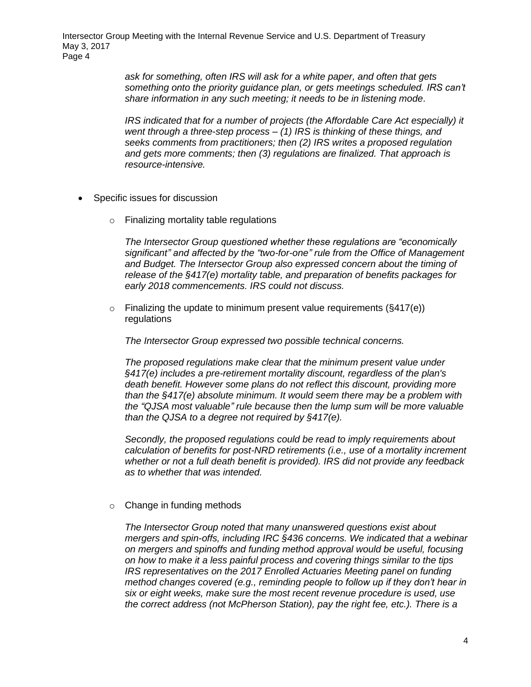> *ask for something, often IRS will ask for a white paper, and often that gets something onto the priority guidance plan, or gets meetings scheduled. IRS can't share information in any such meeting; it needs to be in listening mode*.

> *IRS indicated that for a number of projects (the Affordable Care Act especially) it went through a three-step process – (1) IRS is thinking of these things, and seeks comments from practitioners; then (2) IRS writes a proposed regulation and gets more comments; then (3) regulations are finalized. That approach is resource-intensive.*

- Specific issues for discussion
	- o Finalizing mortality table regulations

*The Intersector Group questioned whether these regulations are "economically significant" and affected by the "two-for-one" rule from the Office of Management and Budget. The Intersector Group also expressed concern about the timing of release of the §417(e) mortality table, and preparation of benefits packages for early 2018 commencements. IRS could not discuss.* 

 $\circ$  Finalizing the update to minimum present value requirements ( $\S 417(e)$ ) regulations

*The Intersector Group expressed two possible technical concerns.* 

*The proposed regulations make clear that the minimum present value under §417(e) includes a pre-retirement mortality discount, regardless of the plan's death benefit. However some plans do not reflect this discount, providing more than the §417(e) absolute minimum. It would seem there may be a problem with the "QJSA most valuable" rule because then the lump sum will be more valuable than the QJSA to a degree not required by §417(e).*

*Secondly, the proposed regulations could be read to imply requirements about calculation of benefits for post-NRD retirements (i.e., use of a mortality increment whether or not a full death benefit is provided). IRS did not provide any feedback as to whether that was intended.*

o Change in funding methods

*The Intersector Group noted that many unanswered questions exist about mergers and spin-offs, including IRC §436 concerns. We indicated that a webinar on mergers and spinoffs and funding method approval would be useful, focusing on how to make it a less painful process and covering things similar to the tips IRS representatives on the 2017 Enrolled Actuaries Meeting panel on funding method changes covered (e.g., reminding people to follow up if they don't hear in six or eight weeks, make sure the most recent revenue procedure is used, use the correct address (not McPherson Station), pay the right fee, etc.). There is a*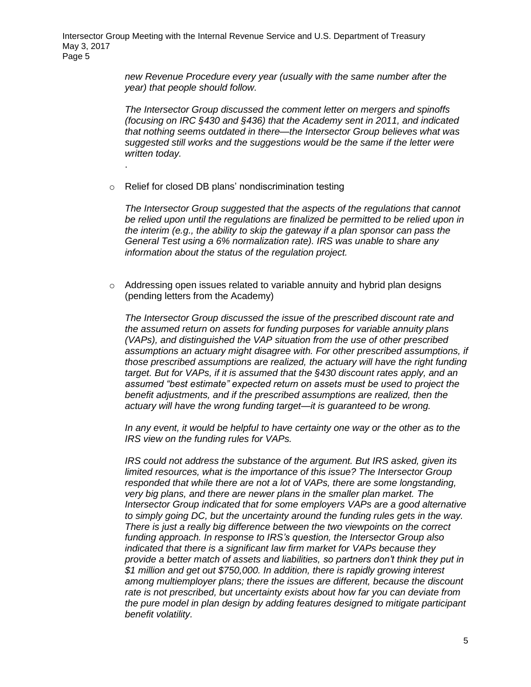> *new Revenue Procedure every year (usually with the same number after the year) that people should follow.*

*The Intersector Group discussed the comment letter on mergers and spinoffs (focusing on IRC §430 and §436) that the Academy sent in 2011, and indicated that nothing seems outdated in there—the Intersector Group believes what was suggested still works and the suggestions would be the same if the letter were written today.*

o Relief for closed DB plans' nondiscrimination testing

.

*The Intersector Group suggested that the aspects of the regulations that cannot be relied upon until the regulations are finalized be permitted to be relied upon in the interim (e.g., the ability to skip the gateway if a plan sponsor can pass the General Test using a 6% normalization rate). IRS was unable to share any information about the status of the regulation project.* 

 $\circ$  Addressing open issues related to variable annuity and hybrid plan designs (pending letters from the Academy)

*The Intersector Group discussed the issue of the prescribed discount rate and the assumed return on assets for funding purposes for variable annuity plans (VAPs), and distinguished the VAP situation from the use of other prescribed assumptions an actuary might disagree with. For other prescribed assumptions, if those prescribed assumptions are realized, the actuary will have the right funding target. But for VAPs, if it is assumed that the §430 discount rates apply, and an assumed "best estimate" expected return on assets must be used to project the benefit adjustments, and if the prescribed assumptions are realized, then the actuary will have the wrong funding target—it is guaranteed to be wrong.* 

*In any event, it would be helpful to have certainty one way or the other as to the IRS view on the funding rules for VAPs.*

*IRS could not address the substance of the argument. But IRS asked, given its limited resources, what is the importance of this issue? The Intersector Group responded that while there are not a lot of VAPs, there are some longstanding, very big plans, and there are newer plans in the smaller plan market. The Intersector Group indicated that for some employers VAPs are a good alternative to simply going DC, but the uncertainty around the funding rules gets in the way. There is just a really big difference between the two viewpoints on the correct funding approach. In response to IRS's question, the Intersector Group also indicated that there is a significant law firm market for VAPs because they provide a better match of assets and liabilities, so partners don't think they put in \$1 million and get out \$750,000. In addition, there is rapidly growing interest among multiemployer plans; there the issues are different, because the discount rate is not prescribed, but uncertainty exists about how far you can deviate from the pure model in plan design by adding features designed to mitigate participant benefit volatility.*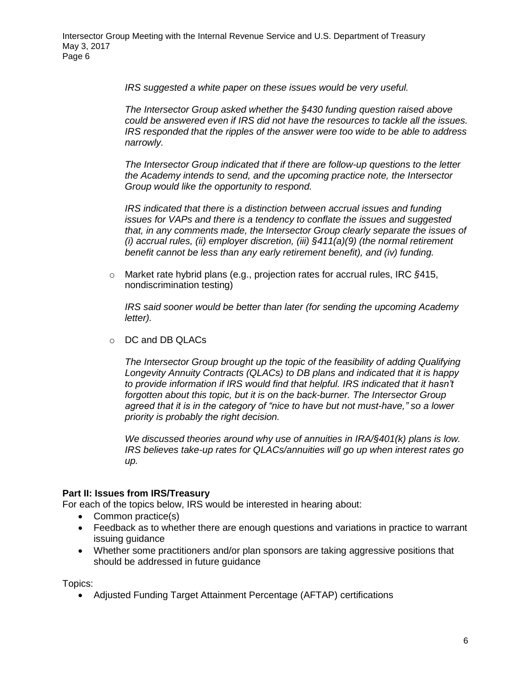*IRS suggested a white paper on these issues would be very useful.*

*The Intersector Group asked whether the §430 funding question raised above could be answered even if IRS did not have the resources to tackle all the issues. IRS responded that the ripples of the answer were too wide to be able to address narrowly.*

*The Intersector Group indicated that if there are follow-up questions to the letter the Academy intends to send, and the upcoming practice note, the Intersector Group would like the opportunity to respond.*

*IRS indicated that there is a distinction between accrual issues and funding issues for VAPs and there is a tendency to conflate the issues and suggested that, in any comments made, the Intersector Group clearly separate the issues of (i) accrual rules, (ii) employer discretion, (iii) §411(a)(9) (the normal retirement benefit cannot be less than any early retirement benefit), and (iv) funding.*

o Market rate hybrid plans (e.g., projection rates for accrual rules, IRC *§*415, nondiscrimination testing)

*IRS said sooner would be better than later (for sending the upcoming Academy letter).*

o DC and DB QLACs

*The Intersector Group brought up the topic of the feasibility of adding Qualifying Longevity Annuity Contracts (QLACs) to DB plans and indicated that it is happy to provide information if IRS would find that helpful. IRS indicated that it hasn't forgotten about this topic, but it is on the back-burner. The Intersector Group agreed that it is in the category of "nice to have but not must-have," so a lower priority is probably the right decision.* 

*We discussed theories around why use of annuities in IRA/§401(k) plans is low. IRS believes take-up rates for QLACs/annuities will go up when interest rates go up.*

### **Part II: Issues from IRS/Treasury**

For each of the topics below, IRS would be interested in hearing about:

- Common practice(s)
- Feedback as to whether there are enough questions and variations in practice to warrant issuing guidance
- Whether some practitioners and/or plan sponsors are taking aggressive positions that should be addressed in future guidance

Topics:

Adjusted Funding Target Attainment Percentage (AFTAP) certifications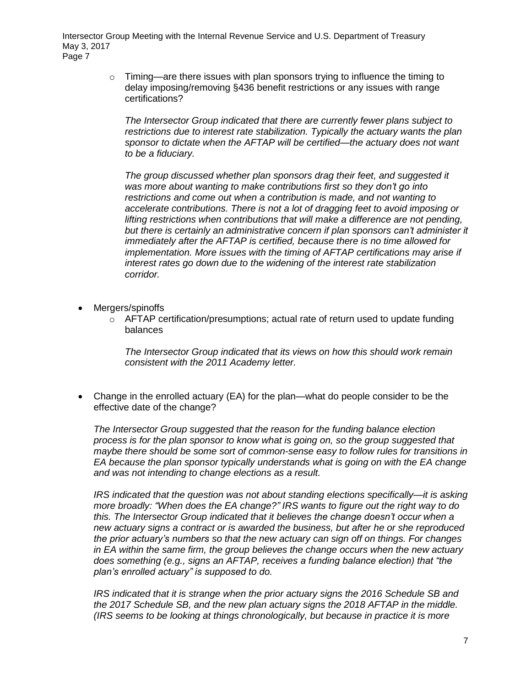> $\circ$  Timing—are there issues with plan sponsors trying to influence the timing to delay imposing/removing §436 benefit restrictions or any issues with range certifications?

*The Intersector Group indicated that there are currently fewer plans subject to restrictions due to interest rate stabilization. Typically the actuary wants the plan sponsor to dictate when the AFTAP will be certified—the actuary does not want to be a fiduciary.*

*The group discussed whether plan sponsors drag their feet, and suggested it was more about wanting to make contributions first so they don't go into restrictions and come out when a contribution is made, and not wanting to accelerate contributions. There is not a lot of dragging feet to avoid imposing or lifting restrictions when contributions that will make a difference are not pending, but there is certainly an administrative concern if plan sponsors can't administer it immediately after the AFTAP is certified, because there is no time allowed for implementation. More issues with the timing of AFTAP certifications may arise if interest rates go down due to the widening of the interest rate stabilization corridor.*

- Mergers/spinoffs
	- $\circ$  AFTAP certification/presumptions; actual rate of return used to update funding balances

*The Intersector Group indicated that its views on how this should work remain consistent with the 2011 Academy letter.*

 Change in the enrolled actuary (EA) for the plan—what do people consider to be the effective date of the change?

*The Intersector Group suggested that the reason for the funding balance election process is for the plan sponsor to know what is going on, so the group suggested that maybe there should be some sort of common-sense easy to follow rules for transitions in EA because the plan sponsor typically understands what is going on with the EA change and was not intending to change elections as a result.*

*IRS indicated that the question was not about standing elections specifically—it is asking more broadly: "When does the EA change?" IRS wants to figure out the right way to do this. The Intersector Group indicated that it believes the change doesn't occur when a new actuary signs a contract or is awarded the business, but after he or she reproduced the prior actuary's numbers so that the new actuary can sign off on things. For changes in EA within the same firm, the group believes the change occurs when the new actuary does something (e.g., signs an AFTAP, receives a funding balance election) that "the plan's enrolled actuary" is supposed to do.* 

*IRS indicated that it is strange when the prior actuary signs the 2016 Schedule SB and the 2017 Schedule SB, and the new plan actuary signs the 2018 AFTAP in the middle. (IRS seems to be looking at things chronologically, but because in practice it is more*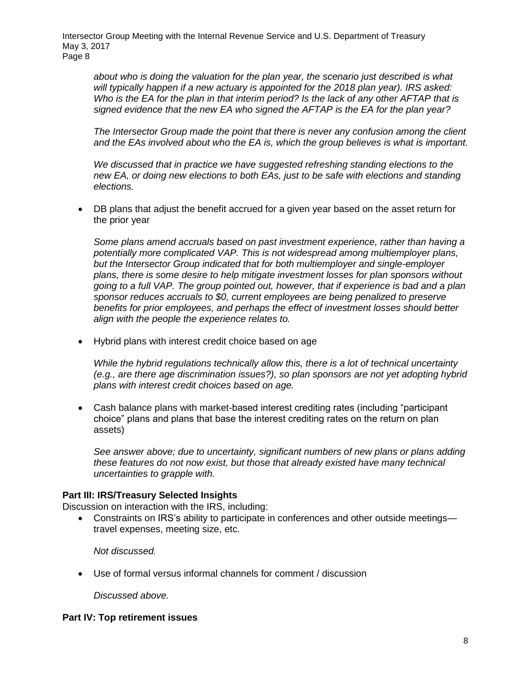*about who is doing the valuation for the plan year, the scenario just described is what will typically happen if a new actuary is appointed for the 2018 plan year). IRS asked: Who is the EA for the plan in that interim period? Is the lack of any other AFTAP that is signed evidence that the new EA who signed the AFTAP is the EA for the plan year?*

*The Intersector Group made the point that there is never any confusion among the client and the EAs involved about who the EA is, which the group believes is what is important.*

*We discussed that in practice we have suggested refreshing standing elections to the new EA, or doing new elections to both EAs, just to be safe with elections and standing elections.*

 DB plans that adjust the benefit accrued for a given year based on the asset return for the prior year

*Some plans amend accruals based on past investment experience, rather than having a potentially more complicated VAP. This is not widespread among multiemployer plans, but the Intersector Group indicated that for both multiemployer and single-employer plans, there is some desire to help mitigate investment losses for plan sponsors without going to a full VAP. The group pointed out, however, that if experience is bad and a plan sponsor reduces accruals to \$0, current employees are being penalized to preserve benefits for prior employees, and perhaps the effect of investment losses should better align with the people the experience relates to.*

Hybrid plans with interest credit choice based on age

*While the hybrid regulations technically allow this, there is a lot of technical uncertainty (e.g., are there age discrimination issues?), so plan sponsors are not yet adopting hybrid plans with interest credit choices based on age.*

 Cash balance plans with market-based interest crediting rates (including "participant choice" plans and plans that base the interest crediting rates on the return on plan assets)

*See answer above; due to uncertainty, significant numbers of new plans or plans adding these features do not now exist, but those that already existed have many technical uncertainties to grapple with.* 

### **Part III: IRS/Treasury Selected Insights**

Discussion on interaction with the IRS, including:

 Constraints on IRS's ability to participate in conferences and other outside meetings travel expenses, meeting size, etc.

*Not discussed.*

Use of formal versus informal channels for comment / discussion

*Discussed above.*

### **Part IV: Top retirement issues**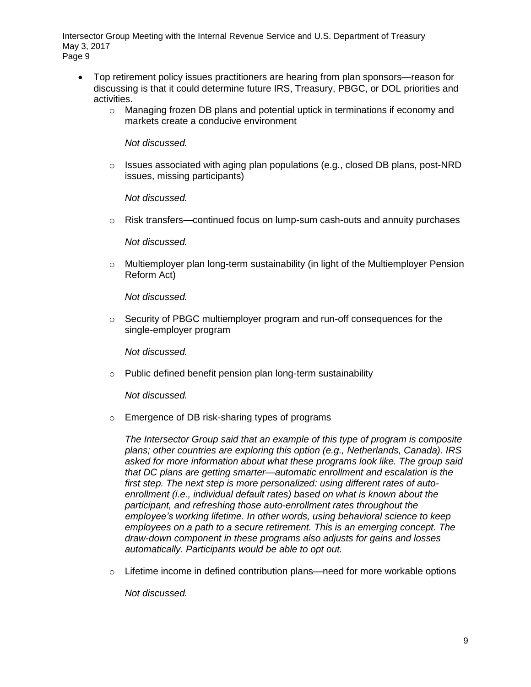- Top retirement policy issues practitioners are hearing from plan sponsors—reason for discussing is that it could determine future IRS, Treasury, PBGC, or DOL priorities and activities.
	- o Managing frozen DB plans and potential uptick in terminations if economy and markets create a conducive environment

*Not discussed.*

o Issues associated with aging plan populations (e.g., closed DB plans, post-NRD issues, missing participants)

*Not discussed.*

 $\circ$  Risk transfers—continued focus on lump-sum cash-outs and annuity purchases

*Not discussed.*

 $\circ$  Multiemployer plan long-term sustainability (in light of the Multiemployer Pension Reform Act)

*Not discussed.*

 $\circ$  Security of PBGC multiemployer program and run-off consequences for the single-employer program

*Not discussed.*

o Public defined benefit pension plan long-term sustainability

*Not discussed.*

o Emergence of DB risk-sharing types of programs

*The Intersector Group said that an example of this type of program is composite plans; other countries are exploring this option (e.g., Netherlands, Canada). IRS asked for more information about what these programs look like. The group said that DC plans are getting smarter—automatic enrollment and escalation is the first step. The next step is more personalized: using different rates of autoenrollment (i.e., individual default rates) based on what is known about the participant, and refreshing those auto-enrollment rates throughout the employee's working lifetime. In other words, using behavioral science to keep employees on a path to a secure retirement. This is an emerging concept. The draw-down component in these programs also adjusts for gains and losses automatically. Participants would be able to opt out.*

 $\circ$  Lifetime income in defined contribution plans—need for more workable options

*Not discussed.*